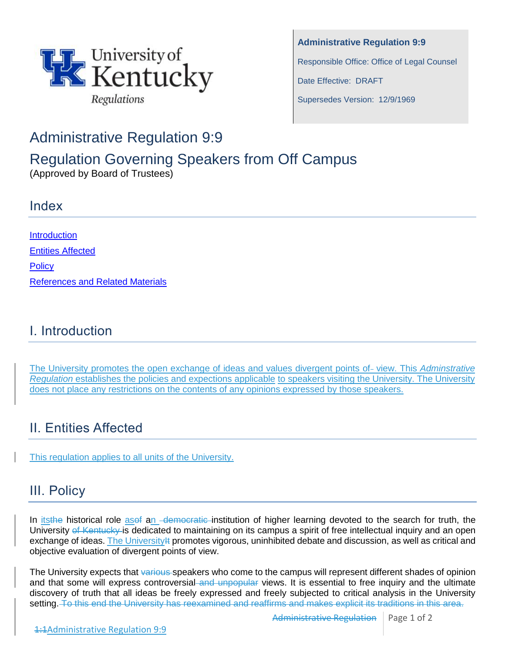

**Administrative Regulation 9:9** Responsible Office: Office of Legal Counsel Date Effective: DRAFT Supersedes Version: 12/9/1969

## Administrative Regulation 9:9

# Regulation Governing Speakers from Off Campus

(Approved by Board of Trustees)

#### Index

**Introduction** Entities Affected **Policy** References and Related Materials

## I. Introduction

The University promotes the open exchange of ideas and values divergent points of-view. This *Adminstrative Regulation* establishes the policies and expections applicable to speakers visiting the University. The University does not place any restrictions on the contents of any opinions expressed by those speakers.

#### II. Entities Affected

This regulation applies to all units of the University.

## III. Policy

In itsthe historical role asef an *-democratic*-institution of higher learning devoted to the search for truth, the University of Kentucky is dedicated to maintaining on its campus a spirit of free intellectual inquiry and an open exchange of ideas. The University# promotes vigorous, uninhibited debate and discussion, as well as critical and objective evaluation of divergent points of view.

The University expects that various speakers who come to the campus will represent different shades of opinion and that some will express controversial and unpopular views. It is essential to free inquiry and the ultimate discovery of truth that all ideas be freely expressed and freely subjected to critical analysis in the University setting. To this end the University has reexamined and reaffirms and makes explicit its traditions in this area.